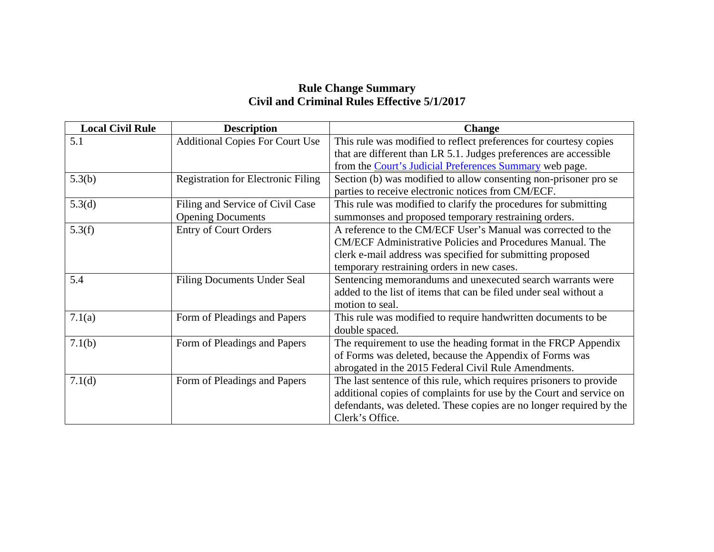## **Rule Change Summary Civil and Criminal Rules Effective 5/1/2017**

| <b>Local Civil Rule</b> | <b>Description</b>                        | <b>Change</b>                                                       |
|-------------------------|-------------------------------------------|---------------------------------------------------------------------|
| 5.1                     | <b>Additional Copies For Court Use</b>    | This rule was modified to reflect preferences for courtesy copies   |
|                         |                                           | that are different than LR 5.1. Judges preferences are accessible   |
|                         |                                           | from the Court's Judicial Preferences Summary web page.             |
| 5.3(b)                  | <b>Registration for Electronic Filing</b> | Section (b) was modified to allow consenting non-prisoner pro se    |
|                         |                                           | parties to receive electronic notices from CM/ECF.                  |
| 5.3(d)                  | Filing and Service of Civil Case          | This rule was modified to clarify the procedures for submitting     |
|                         | <b>Opening Documents</b>                  | summonses and proposed temporary restraining orders.                |
| 5.3(f)                  | <b>Entry of Court Orders</b>              | A reference to the CM/ECF User's Manual was corrected to the        |
|                         |                                           | <b>CM/ECF Administrative Policies and Procedures Manual. The</b>    |
|                         |                                           | clerk e-mail address was specified for submitting proposed          |
|                         |                                           | temporary restraining orders in new cases.                          |
| 5.4                     | <b>Filing Documents Under Seal</b>        | Sentencing memorandums and unexecuted search warrants were          |
|                         |                                           | added to the list of items that can be filed under seal without a   |
|                         |                                           | motion to seal.                                                     |
| 7.1(a)                  | Form of Pleadings and Papers              | This rule was modified to require handwritten documents to be       |
|                         |                                           | double spaced.                                                      |
| 7.1(b)                  | Form of Pleadings and Papers              | The requirement to use the heading format in the FRCP Appendix      |
|                         |                                           | of Forms was deleted, because the Appendix of Forms was             |
|                         |                                           | abrogated in the 2015 Federal Civil Rule Amendments.                |
| 7.1(d)                  | Form of Pleadings and Papers              | The last sentence of this rule, which requires prisoners to provide |
|                         |                                           | additional copies of complaints for use by the Court and service on |
|                         |                                           | defendants, was deleted. These copies are no longer required by the |
|                         |                                           | Clerk's Office.                                                     |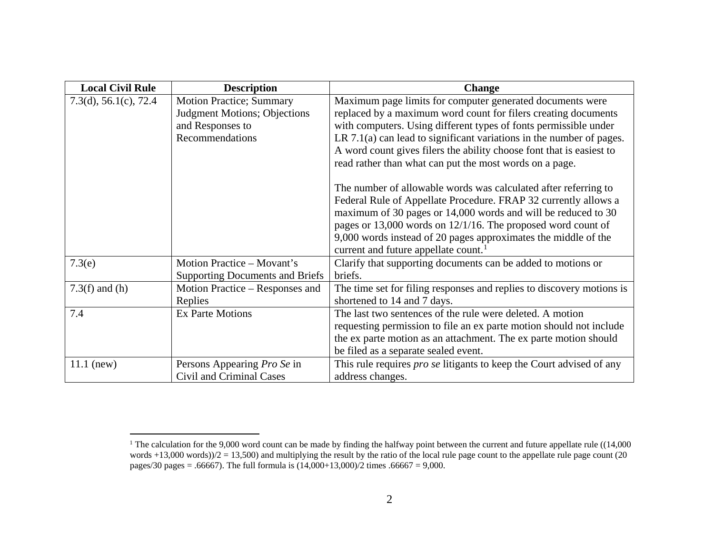<span id="page-1-0"></span>

| <b>Local Civil Rule</b>  | <b>Description</b>                                                                                             | <b>Change</b>                                                                                                                                                                                                                                                                                                                                                                                                |
|--------------------------|----------------------------------------------------------------------------------------------------------------|--------------------------------------------------------------------------------------------------------------------------------------------------------------------------------------------------------------------------------------------------------------------------------------------------------------------------------------------------------------------------------------------------------------|
| 7.3(d), $56.1(c)$ , 72.4 | <b>Motion Practice; Summary</b><br><b>Judgment Motions</b> ; Objections<br>and Responses to<br>Recommendations | Maximum page limits for computer generated documents were<br>replaced by a maximum word count for filers creating documents<br>with computers. Using different types of fonts permissible under<br>LR $7.1(a)$ can lead to significant variations in the number of pages.<br>A word count gives filers the ability choose font that is easiest to<br>read rather than what can put the most words on a page. |
|                          |                                                                                                                | The number of allowable words was calculated after referring to<br>Federal Rule of Appellate Procedure. FRAP 32 currently allows a<br>maximum of 30 pages or 14,000 words and will be reduced to 30<br>pages or 13,000 words on $12/1/16$ . The proposed word count of<br>9,000 words instead of 20 pages approximates the middle of the<br>current and future appellate count. <sup>1</sup>                 |
| 7.3(e)                   | Motion Practice – Movant's<br><b>Supporting Documents and Briefs</b>                                           | Clarify that supporting documents can be added to motions or<br>briefs.                                                                                                                                                                                                                                                                                                                                      |
| $7.3(f)$ and (h)         | Motion Practice – Responses and<br>Replies                                                                     | The time set for filing responses and replies to discovery motions is<br>shortened to 14 and 7 days.                                                                                                                                                                                                                                                                                                         |
| 7.4                      | <b>Ex Parte Motions</b>                                                                                        | The last two sentences of the rule were deleted. A motion<br>requesting permission to file an ex parte motion should not include<br>the ex parte motion as an attachment. The ex parte motion should<br>be filed as a separate sealed event.                                                                                                                                                                 |
| $11.1$ (new)             | Persons Appearing Pro Se in<br>Civil and Criminal Cases                                                        | This rule requires <i>pro se</i> litigants to keep the Court advised of any<br>address changes.                                                                                                                                                                                                                                                                                                              |

<sup>&</sup>lt;sup>1</sup> The calculation for the 9,000 word count can be made by finding the halfway point between the current and future appellate rule ((14,000) words  $+13,000$  words) $/2 = 13,500$  and multiplying the result by the ratio of the local rule page count to the appellate rule page count (20 pages/30 pages = .66667). The full formula is (14,000+13,000)/2 times .66667 = 9,000.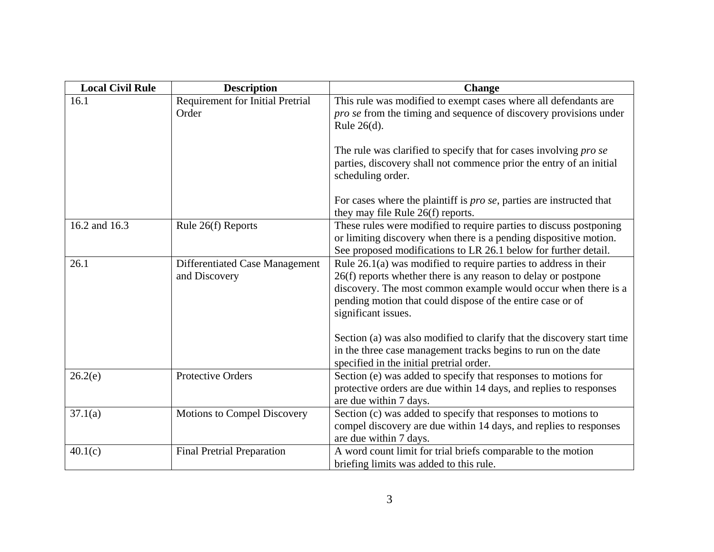| <b>Local Civil Rule</b> | <b>Description</b>                               | <b>Change</b>                                                                                                                                                                                                                                                                               |
|-------------------------|--------------------------------------------------|---------------------------------------------------------------------------------------------------------------------------------------------------------------------------------------------------------------------------------------------------------------------------------------------|
| 16.1                    | <b>Requirement for Initial Pretrial</b><br>Order | This rule was modified to exempt cases where all defendants are<br>pro se from the timing and sequence of discovery provisions under                                                                                                                                                        |
|                         |                                                  | Rule $26(d)$ .<br>The rule was clarified to specify that for cases involving <i>pro se</i><br>parties, discovery shall not commence prior the entry of an initial<br>scheduling order.                                                                                                      |
|                         |                                                  | For cases where the plaintiff is <i>pro se</i> , parties are instructed that<br>they may file Rule 26(f) reports.                                                                                                                                                                           |
| 16.2 and 16.3           | Rule 26(f) Reports                               | These rules were modified to require parties to discuss postponing<br>or limiting discovery when there is a pending dispositive motion.<br>See proposed modifications to LR 26.1 below for further detail.                                                                                  |
| 26.1                    | Differentiated Case Management<br>and Discovery  | Rule $26.1(a)$ was modified to require parties to address in their<br>26(f) reports whether there is any reason to delay or postpone<br>discovery. The most common example would occur when there is a<br>pending motion that could dispose of the entire case or of<br>significant issues. |
|                         |                                                  | Section (a) was also modified to clarify that the discovery start time<br>in the three case management tracks begins to run on the date<br>specified in the initial pretrial order.                                                                                                         |
| 26.2(e)                 | Protective Orders                                | Section (e) was added to specify that responses to motions for<br>protective orders are due within 14 days, and replies to responses<br>are due within 7 days.                                                                                                                              |
| 37.1(a)                 | Motions to Compel Discovery                      | Section (c) was added to specify that responses to motions to<br>compel discovery are due within 14 days, and replies to responses<br>are due within 7 days.                                                                                                                                |
| 40.1(c)                 | <b>Final Pretrial Preparation</b>                | A word count limit for trial briefs comparable to the motion<br>briefing limits was added to this rule.                                                                                                                                                                                     |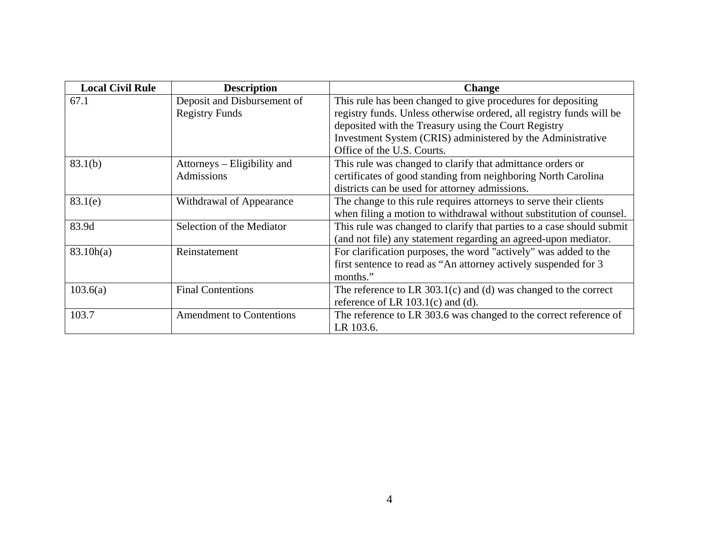| <b>Local Civil Rule</b> | <b>Description</b>              | <b>Change</b>                                                         |
|-------------------------|---------------------------------|-----------------------------------------------------------------------|
| 67.1                    | Deposit and Disbursement of     | This rule has been changed to give procedures for depositing          |
|                         | <b>Registry Funds</b>           | registry funds. Unless otherwise ordered, all registry funds will be  |
|                         |                                 | deposited with the Treasury using the Court Registry                  |
|                         |                                 | Investment System (CRIS) administered by the Administrative           |
|                         |                                 | Office of the U.S. Courts.                                            |
| 83.1(b)                 | Attorneys – Eligibility and     | This rule was changed to clarify that admittance orders or            |
|                         | Admissions                      | certificates of good standing from neighboring North Carolina         |
|                         |                                 | districts can be used for attorney admissions.                        |
| 83.1(e)                 | Withdrawal of Appearance        | The change to this rule requires attorneys to serve their clients     |
|                         |                                 | when filing a motion to withdrawal without substitution of counsel.   |
| 83.9d                   | Selection of the Mediator       | This rule was changed to clarify that parties to a case should submit |
|                         |                                 | (and not file) any statement regarding an agreed-upon mediator.       |
| 83.10h(a)               | Reinstatement                   | For clarification purposes, the word "actively" was added to the      |
|                         |                                 | first sentence to read as "An attorney actively suspended for 3       |
|                         |                                 | months."                                                              |
| 103.6(a)                | <b>Final Contentions</b>        | The reference to LR $303.1(c)$ and (d) was changed to the correct     |
|                         |                                 | reference of LR $103.1(c)$ and (d).                                   |
| 103.7                   | <b>Amendment to Contentions</b> | The reference to LR 303.6 was changed to the correct reference of     |
|                         |                                 | LR 103.6.                                                             |